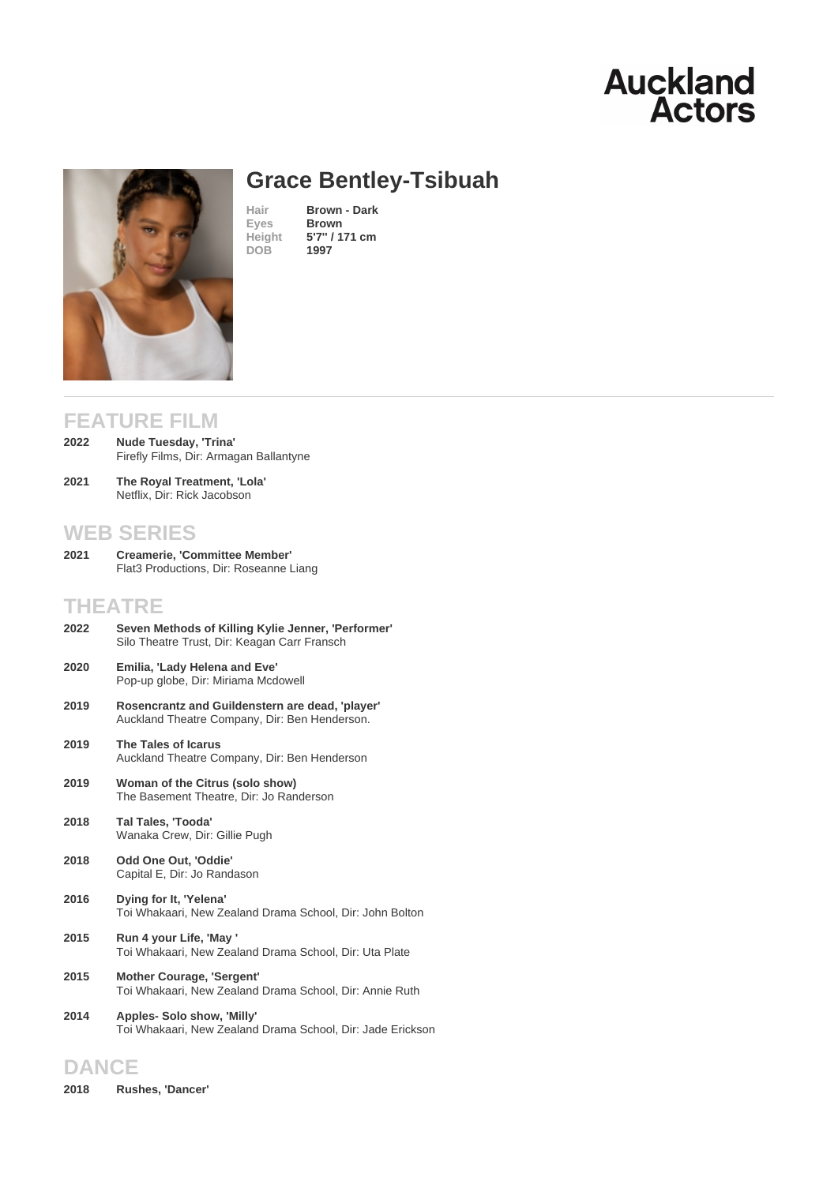# Grace Bentley-Tsibuah

Hair **Brown - Dark**<br>Eyes **Brown Brown** Height [5](/actors/details/grace-bentley-tsibuah)'[7](/actors/details/grace-bentley-tsibuah)'' [/ 171 cm](/actors/details/grace-bentley-tsibuah) DOB 1997

## FEATURE FILM

- Nude Tuesday, 'Trina' Firefly Films, Dir: Armagan Ballantyne 2022
- The Royal Treatment, 'Lola' Netflix, Dir: Rick Jacobson 2021

### WEB SERIES

Creamerie, 'Committee Member' Flat3 Productions, Dir: Roseanne Liang 2021

## THEATRE

- Seven Methods of Killing Kylie Jenner, 'Performer' Silo Theatre Trust, Dir: Keagan Carr Fransch 2022
- Emilia, 'Lady Helena and Eve' Pop-up globe, Dir: Miriama Mcdowell 2020
- Rosencrantz and Guildenstern are dead, 'player' Auckland Theatre Company, Dir: Ben Henderson. 2019
- The Tales of Icarus Auckland Theatre Company, Dir: Ben Henderson 2019
- Woman of the Citrus (solo show) The Basement Theatre, Dir: Jo Randerson 2019
- Tal Tales, 'Tooda' Wanaka Crew, Dir: Gillie Pugh 2018
- Odd One Out, 'Oddie' Capital E, Dir: Jo Randason 2018
- Dying for It, 'Yelena' Toi Whakaari, New Zealand Drama School, Dir: John Bolton 2016
- Run 4 your Life, 'May ' Toi Whakaari, New Zealand Drama School, Dir: Uta Plate 2015
- Mother Courage, 'Sergent' Toi Whakaari, New Zealand Drama School, Dir: Annie Ruth 2015
- Apples- Solo show, 'Milly' Toi Whakaari, New Zealand Drama School, Dir: Jade Erickson 2014

## DANCE

2018 Rushes, 'Dancer'